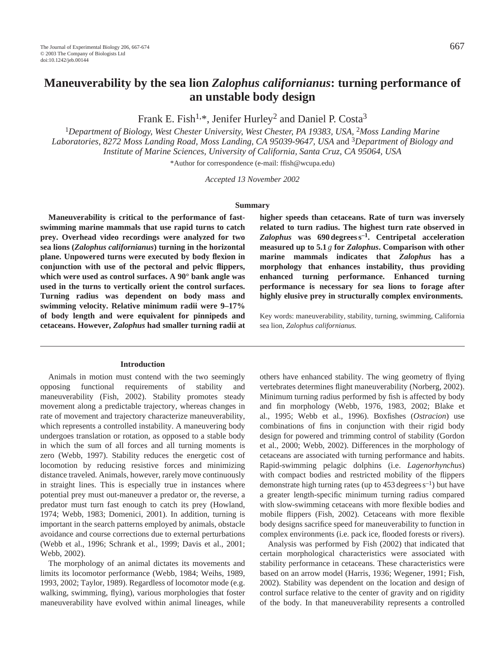# **Maneuverability by the sea lion** *Zalophus californianus***: turning performance of an unstable body design**

Frank E. Fish<sup>1,\*</sup>, Jenifer Hurley<sup>2</sup> and Daniel P. Costa<sup>3</sup>

<sup>1</sup>Department of Biology, West Chester University, West Chester, PA 19383, USA, <sup>2</sup>Moss Landing Marine *Laboratories, 8272 Moss Landing Road, Moss Landing, CA 95039-9647, USA* and 3*Department of Biology and Institute of Marine Sciences, University of California, Santa Cruz, CA 95064, USA*

\*Author for correspondence (e-mail: ffish@wcupa.edu)

*Accepted 13 November 2002*

#### **Summary**

**Maneuverability is critical to the performance of fastswimming marine mammals that use rapid turns to catch prey. Overhead video recordings were analyzed for two sea lions (***Zalophus californianus***) turning in the horizontal plane. Unpowered turns were executed by body flexion in conjunction with use of the pectoral and pelvic flippers, which were used as control surfaces. A 90° bank angle was used in the turns to vertically orient the control surfaces. Turning radius was dependent on body mass and swimming velocity. Relative minimum radii were 9–17% of body length and were equivalent for pinnipeds and cetaceans. However,** *Zalophus* **had smaller turning radii at**

#### **Introduction**

Animals in motion must contend with the two seemingly opposing functional requirements of stability and maneuverability (Fish, 2002). Stability promotes steady movement along a predictable trajectory, whereas changes in rate of movement and trajectory characterize maneuverability, which represents a controlled instability. A maneuvering body undergoes translation or rotation, as opposed to a stable body in which the sum of all forces and all turning moments is zero (Webb, 1997). Stability reduces the energetic cost of locomotion by reducing resistive forces and minimizing distance traveled. Animals, however, rarely move continuously in straight lines. This is especially true in instances where potential prey must out-maneuver a predator or, the reverse, a predator must turn fast enough to catch its prey (Howland, 1974; Webb, 1983; Domenici, 2001). In addition, turning is important in the search patterns employed by animals, obstacle avoidance and course corrections due to external perturbations (Webb et al., 1996; Schrank et al., 1999; Davis et al., 2001; Webb, 2002).

The morphology of an animal dictates its movements and limits its locomotor performance (Webb, 1984; Weihs, 1989, 1993, 2002; Taylor, 1989). Regardless of locomotor mode (e.g. walking, swimming, flying), various morphologies that foster maneuverability have evolved within animal lineages, while **higher speeds than cetaceans. Rate of turn was inversely related to turn radius. The highest turn rate observed in** *Zalophus* **was 690 degrees s–1. Centripetal acceleration measured up to 5.1** *g* **for** *Zalophus***. Comparison with other marine mammals indicates that** *Zalophus* **has a morphology that enhances instability, thus providing enhanced turning performance. Enhanced turning performance is necessary for sea lions to forage after highly elusive prey in structurally complex environments.** 

Key words: maneuverability, stability, turning, swimming, California sea lion, *Zalophus californianus.*

others have enhanced stability. The wing geometry of flying vertebrates determines flight maneuverability (Norberg, 2002). Minimum turning radius performed by fish is affected by body and fin morphology (Webb, 1976, 1983, 2002; Blake et al., 1995; Webb et al., 1996). Boxfishes (*Ostracion*) use combinations of fins in conjunction with their rigid body design for powered and trimming control of stability (Gordon et al., 2000; Webb, 2002). Differences in the morphology of cetaceans are associated with turning performance and habits. Rapid-swimming pelagic dolphins (i.e. *Lagenorhynchus*) with compact bodies and restricted mobility of the flippers demonstrate high turning rates (up to  $453$  degrees  $s^{-1}$ ) but have a greater length-specific minimum turning radius compared with slow-swimming cetaceans with more flexible bodies and mobile flippers (Fish, 2002). Cetaceans with more flexible body designs sacrifice speed for maneuverability to function in complex environments (i.e. pack ice, flooded forests or rivers).

Analysis was performed by Fish (2002) that indicated that certain morphological characteristics were associated with stability performance in cetaceans. These characteristics were based on an arrow model (Harris, 1936; Wegener, 1991; Fish, 2002). Stability was dependent on the location and design of control surface relative to the center of gravity and on rigidity of the body. In that maneuverability represents a controlled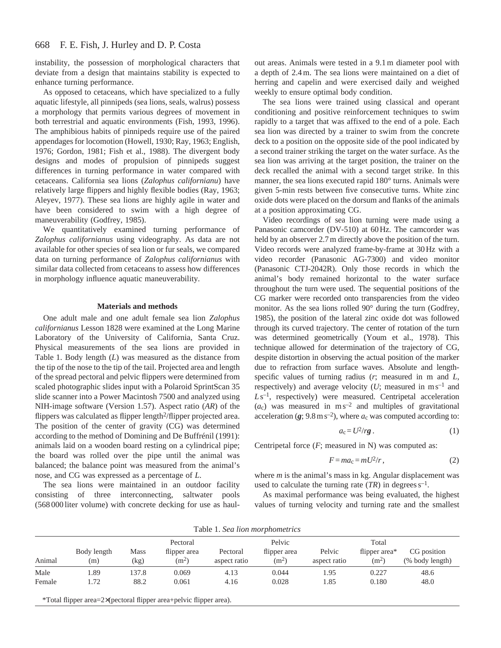instability, the possession of morphological characters that deviate from a design that maintains stability is expected to enhance turning performance.

As opposed to cetaceans, which have specialized to a fully aquatic lifestyle, all pinnipeds (sea lions, seals, walrus) possess a morphology that permits various degrees of movement in both terrestrial and aquatic environments (Fish, 1993, 1996). The amphibious habits of pinnipeds require use of the paired appendages for locomotion (Howell, 1930; Ray, 1963; English, 1976; Gordon, 1981; Fish et al., 1988). The divergent body designs and modes of propulsion of pinnipeds suggest differences in turning performance in water compared with cetaceans. California sea lions (*Zalophus californianu*) have relatively large flippers and highly flexible bodies (Ray, 1963; Aleyev, 1977). These sea lions are highly agile in water and have been considered to swim with a high degree of maneuverability (Godfrey, 1985).

We quantitatively examined turning performance of *Zalophus californianus* using videography. As data are not available for other species of sea lion or fur seals, we compared data on turning performance of *Zalophus californianus* with similar data collected from cetaceans to assess how differences in morphology influence aquatic maneuverability.

## **Materials and methods**

One adult male and one adult female sea lion *Zalophus californianus* Lesson 1828 were examined at the Long Marine Laboratory of the University of California, Santa Cruz. Physical measurements of the sea lions are provided in Table 1. Body length (*L*) was measured as the distance from the tip of the nose to the tip of the tail. Projected area and length of the spread pectoral and pelvic flippers were determined from scaled photographic slides input with a Polaroid SprintScan 35 slide scanner into a Power Macintosh 7500 and analyzed using NIH-image software (Version 1.57). Aspect ratio (*AR*) of the flippers was calculated as flipper length<sup>2</sup>/flipper projected area. The position of the center of gravity (CG) was determined according to the method of Domining and De Buffrénil (1991): animals laid on a wooden board resting on a cylindrical pipe; the board was rolled over the pipe until the animal was balanced; the balance point was measured from the animal's nose, and CG was expressed as a percentage of *L*.

The sea lions were maintained in an outdoor facility consisting of three interconnecting, saltwater pools (568 000 liter volume) with concrete decking for use as haul-

out areas. Animals were tested in a 9.1 m diameter pool with a depth of 2.4 m. The sea lions were maintained on a diet of herring and capelin and were exercised daily and weighed weekly to ensure optimal body condition.

The sea lions were trained using classical and operant conditioning and positive reinforcement techniques to swim rapidly to a target that was affixed to the end of a pole. Each sea lion was directed by a trainer to swim from the concrete deck to a position on the opposite side of the pool indicated by a second trainer striking the target on the water surface. As the sea lion was arriving at the target position, the trainer on the deck recalled the animal with a second target strike. In this manner, the sea lions executed rapid 180° turns. Animals were given 5-min rests between five consecutive turns. White zinc oxide dots were placed on the dorsum and flanks of the animals at a position approximating CG.

Video recordings of sea lion turning were made using a Panasonic camcorder (DV-510) at 60 Hz. The camcorder was held by an observer 2.7 m directly above the position of the turn. Video records were analyzed frame-by-frame at 30 Hz with a video recorder (Panasonic AG-7300) and video monitor (Panasonic CTJ-2042R). Only those records in which the animal's body remained horizontal to the water surface throughout the turn were used. The sequential positions of the CG marker were recorded onto transparencies from the video monitor. As the sea lions rolled 90° during the turn (Godfrey, 1985), the position of the lateral zinc oxide dot was followed through its curved trajectory. The center of rotation of the turn was determined geometrically (Youm et al., 1978). This technique allowed for determination of the trajectory of CG, despite distortion in observing the actual position of the marker due to refraction from surface waves. Absolute and lengthspecific values of turning radius (*r*; measured in m and *L*, respectively) and average velocity  $(U;$  measured in m s<sup>-1</sup> and Ls<sup>-1</sup>, respectively) were measured. Centripetal acceleration  $(a_c)$  was measured in m s<sup>-2</sup> and multiples of gravitational acceleration  $(g; 9.8 \text{ m s}^{-2})$ , where  $a_c$  was computed according to:

$$
a_{\rm c}=U^2/r\mathbf{g} \,.
$$
 (1)

Centripetal force (*F*; measured in N) was computed as:

$$
F = ma_c = mU^2/r, \qquad (2)
$$

where *m* is the animal's mass in kg. Angular displacement was used to calculate the turning rate  $(TR)$  in degrees  $s^{-1}$ .

As maximal performance was being evaluated, the highest values of turning velocity and turning rate and the smallest

Table 1. *Sea lion morphometrics*

|        | $1.0018$ $1.0000$ $1.0010$ $1.001$ $1.0011$ |                     |                                   |                          |                         |                        |                          |                                |
|--------|---------------------------------------------|---------------------|-----------------------------------|--------------------------|-------------------------|------------------------|--------------------------|--------------------------------|
|        |                                             |                     | Pectoral                          |                          | Pelvic                  |                        | Total                    |                                |
| Animal | Body length<br>(m)                          | <b>Mass</b><br>(kg) | flipper area<br>(m <sup>2</sup> ) | Pectoral<br>aspect ratio | flipper area<br>$(m^2)$ | Pelvic<br>aspect ratio | flipper area*<br>$(m^2)$ | CG position<br>(% body length) |
| Male   | l.89                                        | 137.8               | 0.069                             | 4.13                     | 0.044                   | 1.95                   | 0.227                    | 48.6                           |
| Female | 1.72                                        | 88.2                | 0.061                             | 4.16                     | 0.028                   | 1.85                   | 0.180                    | 48.0                           |

\*Total flipper area=2×(pectoral flipper area+pelvic flipper area).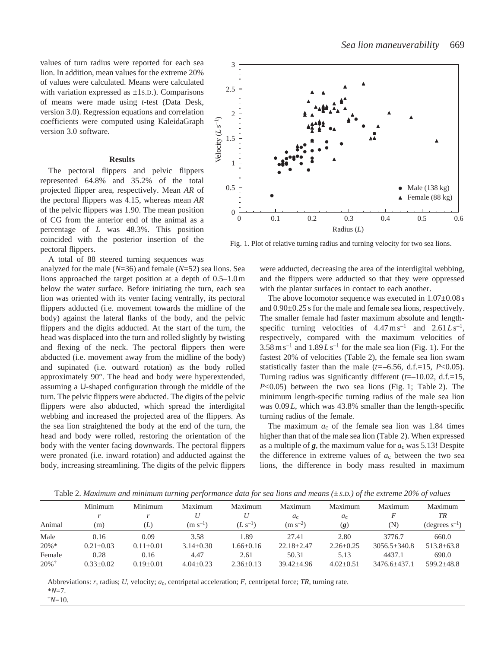values of turn radius were reported for each sea lion. In addition, mean values for the extreme 20% of values were calculated. Means were calculated with variation expressed as  $\pm$ 1s.D.). Comparisons of means were made using *t*-test (Data Desk, version 3.0). Regression equations and correlation coefficients were computed using KaleidaGraph version 3.0 software.

#### **Results**

The pectoral flippers and pelvic flippers represented 64.8% and 35.2% of the total projected flipper area, respectively. Mean *AR* of the pectoral flippers was 4.15, whereas mean *AR* of the pelvic flippers was 1.90. The mean position of CG from the anterior end of the animal as a percentage of *L* was 48.3%. This position coincided with the posterior insertion of the pectoral flippers.

A total of 88 steered turning sequences was

analyzed for the male (*N*=36) and female (*N*=52) sea lions. Sea lions approached the target position at a depth of 0.5–1.0 m below the water surface. Before initiating the turn, each sea lion was oriented with its venter facing ventrally, its pectoral flippers adducted (i.e. movement towards the midline of the body) against the lateral flanks of the body, and the pelvic flippers and the digits adducted. At the start of the turn, the head was displaced into the turn and rolled slightly by twisting and flexing of the neck. The pectoral flippers then were abducted (i.e. movement away from the midline of the body) and supinated (i.e. outward rotation) as the body rolled approximately 90°. The head and body were hyperextended, assuming a U-shaped configuration through the middle of the turn. The pelvic flippers were abducted. The digits of the pelvic flippers were also abducted, which spread the interdigital webbing and increased the projected area of the flippers. As the sea lion straightened the body at the end of the turn, the head and body were rolled, restoring the orientation of the body with the venter facing downwards. The pectoral flippers were pronated (i.e. inward rotation) and adducted against the body, increasing streamlining. The digits of the pelvic flippers



Fig. 1. Plot of relative turning radius and turning velocity for two sea lions.

were adducted, decreasing the area of the interdigital webbing, and the flippers were adducted so that they were oppressed with the plantar surfaces in contact to each another.

The above locomotor sequence was executed in  $1.07\pm0.08$  s and 0.90±0.25 s for the male and female sea lions, respectively. The smaller female had faster maximum absolute and lengthspecific turning velocities of  $4.47 \text{ m s}^{-1}$  and  $2.61 L s^{-1}$ , respectively, compared with the maximum velocities of  $3.58 \text{ m s}^{-1}$  and  $1.89 L \text{ s}^{-1}$  for the male sea lion (Fig. 1). For the fastest 20% of velocities (Table 2), the female sea lion swam statistically faster than the male  $(t=-6.56, d.f.=15, P<0.05)$ . Turning radius was significantly different (*t*=–10.02, d.f.=15, *P*<0.05) between the two sea lions (Fig. 1; Table 2). The minimum length-specific turning radius of the male sea lion was  $0.09 L$ , which was 43.8% smaller than the length-specific turning radius of the female.

The maximum  $a_c$  of the female sea lion was 1.84 times higher than that of the male sea lion (Table 2). When expressed as a multiple of *g*, the maximum value for *a*c was 5.13! Despite the difference in extreme values of  $a_c$  between the two sea lions, the difference in body mass resulted in maximum

Table 2. *Maximum and minimum turning performance data for sea lions and means (±S.D.) of the extreme 20% of values*

|                     | Minimum       | Minimum       | Maximum       | Maximum         | Maximum        | Maximum                    | Maximum          | Maximum                    |
|---------------------|---------------|---------------|---------------|-----------------|----------------|----------------------------|------------------|----------------------------|
|                     |               |               |               |                 | $a_{c}$        | $a_{c}$                    |                  | TR                         |
| Animal              | (m)           | (L)           | $(m s^{-1})$  | $(L s^{-1})$    | $(m s^{-2})$   | $\left( \mathbf{g}\right)$ | $({\rm N})$      | $(\text{degrees } s^{-1})$ |
| Male                | 0.16          | 0.09          | 3.58          | 1.89            | 27.41          | 2.80                       | 3776.7           | 660.0                      |
| $20\% *$            | $0.21 + 0.03$ | $0.11 + 0.01$ | $3.14 + 0.30$ | $1.66 + 0.16$   | $22.18 + 2.47$ | $2.26 + 0.25$              | $3056.5 + 340.8$ | $513.8 + 63.8$             |
| Female              | 0.28          | 0.16          | 4.47          | 2.61            | 50.31          | 5.13                       | 4437.1           | 690.0                      |
| $20\%$ <sup>†</sup> | $0.33+0.02$   | $0.19+0.01$   | $4.04 + 0.23$ | $2.36 \pm 0.13$ | $39.42 + 4.96$ | $4.02+0.51$                | $3476.6 + 437.1$ | $599.2 + 48.8$             |

Abbreviations: *r*, radius; *U*, velocity; *a*c, centripetal acceleration; *F*, centripetal force; *TR*, turning rate. \**N*=7.

 $\frac{1}{7}N=10$ .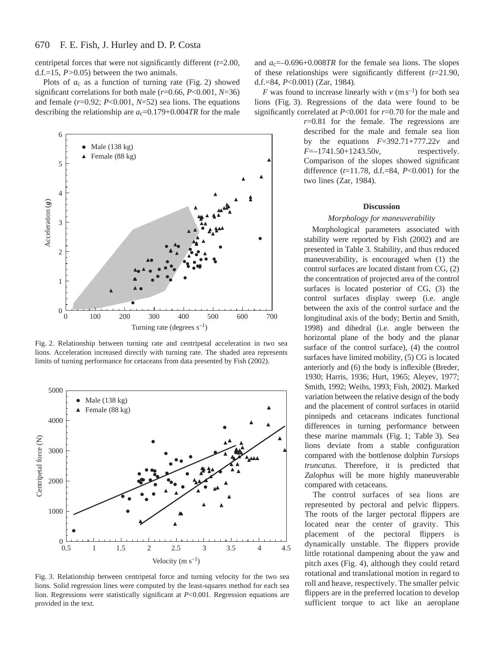centripetal forces that were not significantly different (*t*=2.00, d.f.=15, *P>*0.05) between the two animals.

Plots of *a*c as a function of turning rate (Fig. 2) showed significant correlations for both male (*r*=0.66, *P*<0.001, *N*=36) and female (*r*=0.92; *P*<0.001, *N*=52) sea lions. The equations describing the relationship are  $a_c=0.179+0.004TR$  for the male



Fig. 2. Relationship between turning rate and centripetal acceleration in two sea lions. Acceleration increased directly with turning rate. The shaded area represents limits of turning performance for cetaceans from data presented by Fish (2002).



Fig. 3. Relationship between centripetal force and turning velocity for the two sea lions. Solid regression lines were computed by the least-squares method for each sea lion. Regressions were statistically significant at *P*<0.001. Regression equations are provided in the text.

and  $a_c$ =–0.696+0.008*TR* for the female sea lions. The slopes of these relationships were significantly different (*t*=21.90, d.f.=84, *P*<0.001) (Zar, 1984).

*F* was found to increase linearly with  $v$  (m s<sup>-1</sup>) for both sea lions (Fig. 3). Regressions of the data were found to be significantly correlated at *P*<0.001 for *r*=0.70 for the male and

> *r*=0.81 for the female. The regressions are described for the male and female sea lion by the equations *F*=392.71+777.22*v* and *F*=–1741.50+1243.50*v*, respectively. Comparison of the slopes showed significant difference (*t*=11.78, d.f.=84, *P*<0.001) for the two lines (Zar, 1984).

## **Discussion**

## *Morphology for maneuverability*

Morphological parameters associated with stability were reported by Fish (2002) and are presented in Table 3. Stability, and thus reduced maneuverability, is encouraged when (1) the control surfaces are located distant from CG, (2) the concentration of projected area of the control surfaces is located posterior of CG, (3) the control surfaces display sweep (i.e. angle between the axis of the control surface and the longitudinal axis of the body; Bertin and Smith, 1998) and dihedral (i.e. angle between the horizontal plane of the body and the planar surface of the control surface), (4) the control surfaces have limited mobility, (5) CG is located anteriorly and (6) the body is inflexible (Breder, 1930; Harris, 1936; Hurt, 1965; Aleyev, 1977; Smith, 1992; Weihs, 1993; Fish, 2002). Marked variation between the relative design of the body and the placement of control surfaces in otariid pinnipeds and cetaceans indicates functional differences in turning performance between these marine mammals (Fig. 1; Table 3). Sea lions deviate from a stable configuration compared with the bottlenose dolphin *Tursiops truncatus*. Therefore, it is predicted that *Zalophus* will be more highly maneuverable compared with cetaceans.

The control surfaces of sea lions are represented by pectoral and pelvic flippers. The roots of the larger pectoral flippers are located near the center of gravity. This placement of the pectoral flippers is dynamically unstable. The flippers provide little rotational dampening about the yaw and pitch axes (Fig. 4), although they could retard rotational and translational motion in regard to roll and heave, respectively. The smaller pelvic flippers are in the preferred location to develop sufficient torque to act like an aeroplane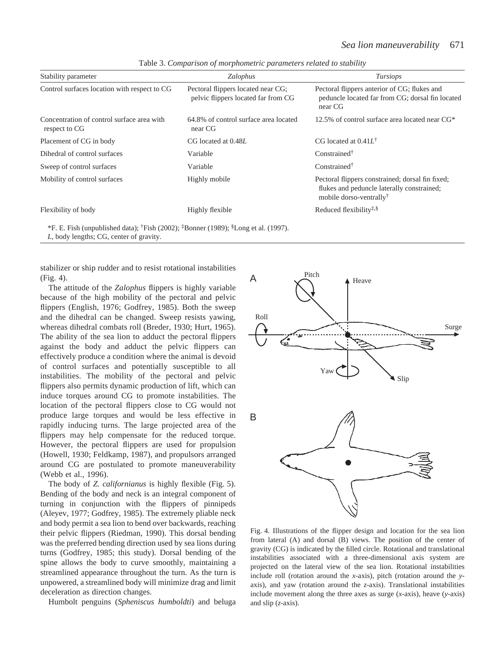| Stability parameter                                         | Zalophus                                                                  | <i>Tursiops</i>                                                                                                                       |
|-------------------------------------------------------------|---------------------------------------------------------------------------|---------------------------------------------------------------------------------------------------------------------------------------|
| Control surfaces location with respect to CG                | Pectoral flippers located near CG;<br>pelvic flippers located far from CG | Pectoral flippers anterior of CG; flukes and<br>peduncle located far from CG; dorsal fin located<br>near CG                           |
| Concentration of control surface area with<br>respect to CG | 64.8% of control surface area located<br>near CG                          | 12.5% of control surface area located near $CG^*$                                                                                     |
| Placement of CG in body                                     | CG located at 0.48L                                                       | CG located at $0.41L^{\dagger}$                                                                                                       |
| Dihedral of control surfaces                                | Variable                                                                  | Constrained <sup>†</sup>                                                                                                              |
| Sweep of control surfaces                                   | Variable                                                                  | Constrained $\dagger$                                                                                                                 |
| Mobility of control surfaces                                | Highly mobile                                                             | Pectoral flippers constrained; dorsal fin fixed;<br>flukes and peduncle laterally constrained;<br>mobile dorso-ventrally <sup>†</sup> |
| Flexibility of body                                         | Highly flexible                                                           | Reduced flexibility <sup>‡,§</sup>                                                                                                    |

Table 3. *Comparison of morphometric parameters related to stability*

\*F. E. Fish (unpublished data); <sup>†</sup>Fish (2002); <sup>‡</sup>Bonner (1989); <sup>§</sup>Long et al. (1997).

*L*, body lengths; CG, center of gravity.

stabilizer or ship rudder and to resist rotational instabilities (Fig. 4).

The attitude of the *Zalophus* flippers is highly variable because of the high mobility of the pectoral and pelvic flippers (English, 1976; Godfrey, 1985). Both the sweep and the dihedral can be changed. Sweep resists yawing, whereas dihedral combats roll (Breder, 1930; Hurt, 1965). The ability of the sea lion to adduct the pectoral flippers against the body and adduct the pelvic flippers can effectively produce a condition where the animal is devoid of control surfaces and potentially susceptible to all instabilities. The mobility of the pectoral and pelvic flippers also permits dynamic production of lift, which can induce torques around CG to promote instabilities. The location of the pectoral flippers close to CG would not produce large torques and would be less effective in rapidly inducing turns. The large projected area of the flippers may help compensate for the reduced torque. However, the pectoral flippers are used for propulsion (Howell, 1930; Feldkamp, 1987), and propulsors arranged around CG are postulated to promote maneuverability (Webb et al., 1996).

The body of *Z. californianus* is highly flexible (Fig. 5). Bending of the body and neck is an integral component of turning in conjunction with the flippers of pinnipeds (Aleyev, 1977; Godfrey, 1985). The extremely pliable neck and body permit a sea lion to bend over backwards, reaching their pelvic flippers (Riedman, 1990). This dorsal bending was the preferred bending direction used by sea lions during turns (Godfrey, 1985; this study). Dorsal bending of the spine allows the body to curve smoothly, maintaining a streamlined appearance throughout the turn. As the turn is unpowered, a streamlined body will minimize drag and limit deceleration as direction changes.

Humbolt penguins (*Spheniscus humboldti*) and beluga



Fig. 4. Illustrations of the flipper design and location for the sea lion from lateral (A) and dorsal (B) views. The position of the center of gravity (CG) is indicated by the filled circle. Rotational and translational instabilities associated with a three-dimensional axis system are projected on the lateral view of the sea lion. Rotational instabilities include roll (rotation around the *x*-axis), pitch (rotation around the *y*axis), and yaw (rotation around the *z*-axis). Translational instabilities include movement along the three axes as surge (*x*-axis), heave (*y*-axis) and slip (*z*-axis).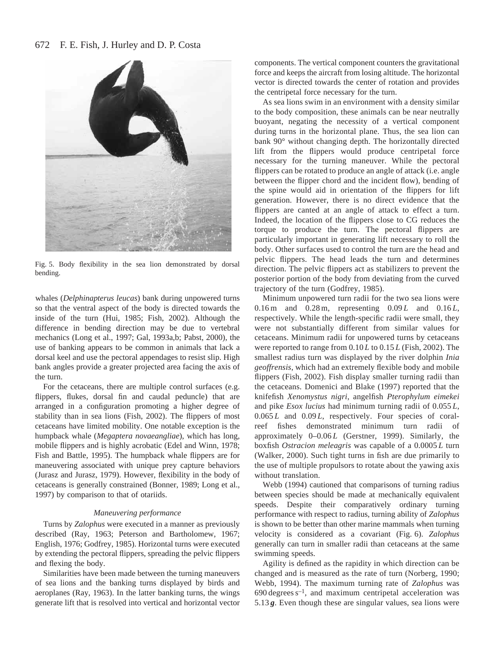## 672 F. E. Fish, J. Hurley and D. P. Costa



Fig. 5. Body flexibility in the sea lion demonstrated by dorsal bending.

whales (*Delphinapterus leucas*) bank during unpowered turns so that the ventral aspect of the body is directed towards the inside of the turn (Hui, 1985; Fish, 2002). Although the difference in bending direction may be due to vertebral mechanics (Long et al., 1997; Gal, 1993a,b; Pabst, 2000), the use of banking appears to be common in animals that lack a dorsal keel and use the pectoral appendages to resist slip. High bank angles provide a greater projected area facing the axis of the turn.

For the cetaceans, there are multiple control surfaces (e.g. flippers, flukes, dorsal fin and caudal peduncle) that are arranged in a configuration promoting a higher degree of stability than in sea lions (Fish, 2002). The flippers of most cetaceans have limited mobility. One notable exception is the humpback whale (*Megaptera novaeangliae*), which has long, mobile flippers and is highly acrobatic (Edel and Winn, 1978; Fish and Battle, 1995). The humpback whale flippers are for maneuvering associated with unique prey capture behaviors (Jurasz and Jurasz, 1979). However, flexibility in the body of cetaceans is generally constrained (Bonner, 1989; Long et al., 1997) by comparison to that of otariids.

## *Maneuvering performance*

Turns by *Zalophus* were executed in a manner as previously described (Ray, 1963; Peterson and Bartholomew, 1967; English, 1976; Godfrey, 1985). Horizontal turns were executed by extending the pectoral flippers, spreading the pelvic flippers and flexing the body.

Similarities have been made between the turning maneuvers of sea lions and the banking turns displayed by birds and aeroplanes (Ray, 1963). In the latter banking turns, the wings generate lift that is resolved into vertical and horizontal vector components. The vertical component counters the gravitational force and keeps the aircraft from losing altitude. The horizontal vector is directed towards the center of rotation and provides the centripetal force necessary for the turn.

As sea lions swim in an environment with a density similar to the body composition, these animals can be near neutrally buoyant, negating the necessity of a vertical component during turns in the horizontal plane. Thus, the sea lion can bank 90° without changing depth. The horizontally directed lift from the flippers would produce centripetal force necessary for the turning maneuver. While the pectoral flippers can be rotated to produce an angle of attack (i.e. angle between the flipper chord and the incident flow), bending of the spine would aid in orientation of the flippers for lift generation. However, there is no direct evidence that the flippers are canted at an angle of attack to effect a turn. Indeed, the location of the flippers close to CG reduces the torque to produce the turn. The pectoral flippers are particularly important in generating lift necessary to roll the body. Other surfaces used to control the turn are the head and pelvic flippers. The head leads the turn and determines direction. The pelvic flippers act as stabilizers to prevent the posterior portion of the body from deviating from the curved trajectory of the turn (Godfrey, 1985).

Minimum unpowered turn radii for the two sea lions were 0.16 m and 0.28 m, representing 0.09 *L* and 0.16 *L*, respectively. While the length-specific radii were small, they were not substantially different from similar values for cetaceans. Minimum radii for unpowered turns by cetaceans were reported to range from 0.10 *L* to 0.15 *L* (Fish, 2002). The smallest radius turn was displayed by the river dolphin *Inia geoffrensis*, which had an extremely flexible body and mobile flippers (Fish, 2002). Fish display smaller turning radii than the cetaceans. Domenici and Blake (1997) reported that the knifefish *Xenomystus nigri*, angelfish *Pterophylum eimekei* and pike *Esox lucius* had minimum turning radii of 0.055 *L*, 0.065 *L* and 0.09 *L*, respectively. Four species of coralreef fishes demonstrated minimum turn radii of approximately 0*–*0.06 *L* (Gerstner, 1999). Similarly, the boxfish *Ostracion meleagris* was capable of a 0.0005 *L* turn (Walker, 2000). Such tight turns in fish are due primarily to the use of multiple propulsors to rotate about the yawing axis without translation.

Webb (1994) cautioned that comparisons of turning radius between species should be made at mechanically equivalent speeds. Despite their comparatively ordinary turning performance with respect to radius, turning ability of *Zalophus* is shown to be better than other marine mammals when turning velocity is considered as a covariant (Fig. 6). *Zalophus* generally can turn in smaller radii than cetaceans at the same swimming speeds.

Agility is defined as the rapidity in which direction can be changed and is measured as the rate of turn (Norberg, 1990; Webb, 1994). The maximum turning rate of *Zalophus* was  $690$  degrees  $s^{-1}$ , and maximum centripetal acceleration was 5.13 *g*. Even though these are singular values, sea lions were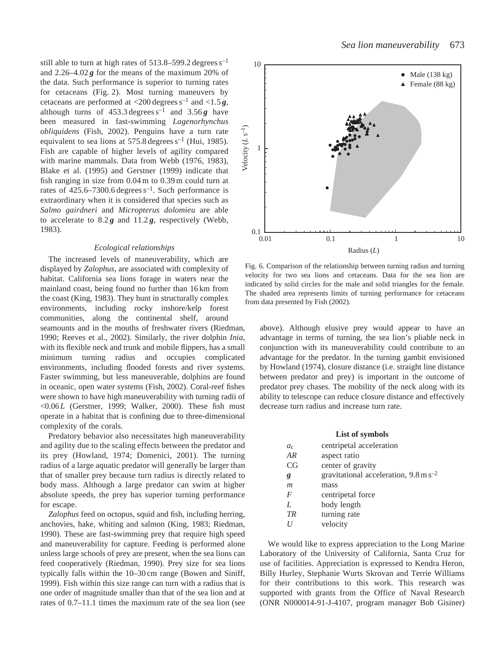still able to turn at high rates of 513.8–599.2 degrees s–1 and  $2.26-4.02$ **g** for the means of the maximum 20% of the data. Such performance is superior to turning rates for cetaceans (Fig. 2). Most turning maneuvers by cetaceans are performed at  $\langle 200 \text{ degrees s}^{-1} \text{ and } \langle 1.5 \text{ g}, \rangle$ although turns of  $453.3$  degrees  $s^{-1}$  and  $3.56g$  have been measured in fast-swimming *Lagenorhynchus obliquidens* (Fish, 2002). Penguins have a turn rate equivalent to sea lions at  $575.8$  degrees  $s^{-1}$  (Hui, 1985). Fish are capable of higher levels of agility compared with marine mammals. Data from Webb (1976, 1983), Blake et al. (1995) and Gerstner (1999) indicate that fish ranging in size from 0.04 m to 0.39 m could turn at rates of  $425.6 - 7300.6$  degrees  $s^{-1}$ . Such performance is extraordinary when it is considered that species such as *Salmo gairdneri* and *Micropterus dolomieu* are able to accelerate to 8.2 *g* and 11.2 *g*, respectively (Webb, 1983).

#### *Ecological relationships*

The increased levels of maneuverability, which are displayed by *Zalophus*, are associated with complexity of habitat. California sea lions forage in waters near the mainland coast, being found no further than 16 km from the coast (King, 1983). They hunt in structurally complex environments, including rocky inshore/kelp forest communities, along the continental shelf, around seamounts and in the mouths of freshwater rivers (Riedman, 1990; Reeves et al., 2002). Similarly, the river dolphin *Inia*, with its flexible neck and trunk and mobile flippers, has a small minimum turning radius and occupies complicated environments, including flooded forests and river systems. Faster swimming, but less maneuverable, dolphins are found in oceanic, open water systems (Fish, 2002). Coral-reef fishes were shown to have high maneuverability with turning radii of <0.06 *L* (Gerstner, 1999; Walker, 2000). These fish must operate in a habitat that is confining due to three-dimensional complexity of the corals.

Predatory behavior also necessitates high maneuverability and agility due to the scaling effects between the predator and its prey (Howland, 1974; Domenici, 2001). The turning radius of a large aquatic predator will generally be larger than that of smaller prey because turn radius is directly related to body mass. Although a large predator can swim at higher absolute speeds, the prey has superior turning performance for escape.

*Zalophus* feed on octopus, squid and fish, including herring, anchovies, hake, whiting and salmon (King, 1983; Riedman, 1990). These are fast-swimming prey that require high speed and maneuverability for capture. Feeding is performed alone unless large schools of prey are present, when the sea lions can feed cooperatively (Riedman, 1990). Prey size for sea lions typically falls within the 10–30 cm range (Bowen and Siniff, 1999). Fish within this size range can turn with a radius that is one order of magnitude smaller than that of the sea lion and at rates of 0.7–11.1 times the maximum rate of the sea lion (see



Fig. 6. Comparison of the relationship between turning radius and turning velocity for two sea lions and cetaceans. Data for the sea lion are indicated by solid circles for the male and solid triangles for the female. The shaded area represents limits of turning performance for cetaceans from data presented by Fish (2002).

above). Although elusive prey would appear to have an advantage in terms of turning, the sea lion's pliable neck in conjunction with its maneuverability could contribute to an advantage for the predator. In the turning gambit envisioned by Howland (1974), closure distance (i.e. straight line distance between predator and prey) is important in the outcome of predator prey chases. The mobility of the neck along with its ability to telescope can reduce closure distance and effectively decrease turn radius and increase turn rate.

## **List of symbols**

| $a_{c}$        | centripetal acceleration                           |
|----------------|----------------------------------------------------|
| AR             | aspect ratio                                       |
| CG             | center of gravity                                  |
| g              | gravitational acceleration, $9.8 \text{ m s}^{-2}$ |
| $\mathfrak{m}$ | mass                                               |
| F              | centripetal force                                  |
| L              | body length                                        |
| <b>TR</b>      | turning rate                                       |
|                | velocity                                           |

We would like to express appreciation to the Long Marine Laboratory of the University of California, Santa Cruz for use of facilities. Appreciation is expressed to Kendra Heron, Billy Hurley, Stephanie Wurts Skrovan and Terrie Williams for their contributions to this work. This research was supported with grants from the Office of Naval Research (ONR N000014-91-J-4107, program manager Bob Gisiner)